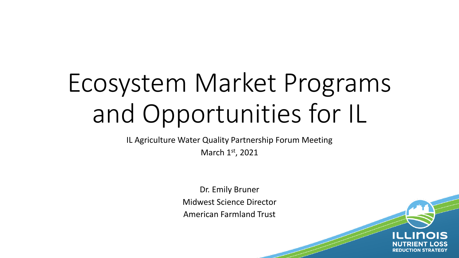# Ecosystem Market Programs and Opportunities for IL

IL Agriculture Water Quality Partnership Forum Meeting

March 1st, 2021

Dr. Emily Bruner Midwest Science Director American Farmland Trust

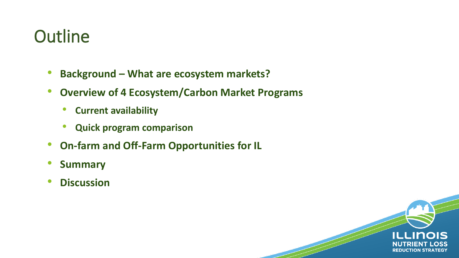#### **Outline**

- **Background – What are ecosystem markets?**
- **Overview of 4 Ecosystem/Carbon Market Programs** 
	- **Current availability**
	- **Quick program comparison**
- **On-farm and Off-Farm Opportunities for IL**
- **Summary**
- **Discussion**

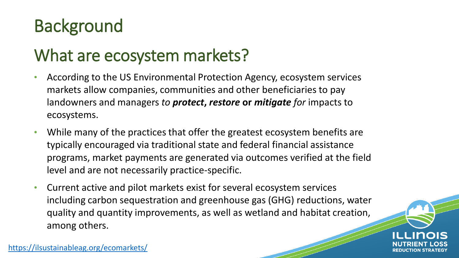## Background

#### What are ecosystem markets?

- According to the US Environmental Protection Agency, ecosystem services markets allow companies, communities and other beneficiaries to pay landowners and managers *to protect***,** *restore* **or** *mitigate for* impacts to ecosystems.
- While many of the practices that offer the greatest ecosystem benefits are typically encouraged via traditional state and federal financial assistance programs, market payments are generated via outcomes verified at the field level and are not necessarily practice-specific.
- Current active and pilot markets exist for several ecosystem services including carbon sequestration and greenhouse gas (GHG) reductions, water quality and quantity improvements, as well as wetland and habitat creation, among others.



<https://ilsustainableag.org/ecomarkets/>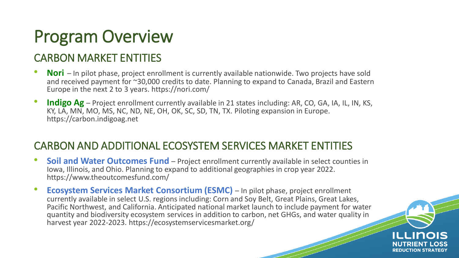#### Program Overview

#### CARBON MARKET ENTITIES

- **Nori** In pilot phase, project enrollment is currently available nationwide. Two projects have sold and received payment for ~30,000 credits to date. Planning to expand to Canada, Brazil and Eastern Europe in the next 2 to 3 years. https://nori.com/
- **Indigo Ag**  Project enrollment currently available in 21 states including: AR, CO, GA, IA, IL, IN, KS, KY, LA, MN, MO, MS, NC, ND, NE, OH, OK, SC, SD, TN, TX. Piloting expansion in Europe. https://carbon.indigoag.net

#### CARBON AND ADDITIONAL ECOSYSTEM SERVICES MARKET ENTITIES

- **Soil and Water Outcomes Fund**  Project enrollment currently available in select counties in Iowa, Illinois, and Ohio. Planning to expand to additional geographies in crop year 2022. https://www.theoutcomesfund.com/
- **Ecosystem Services Market Consortium (ESMC)** In pilot phase, project enrollment currently available in select U.S. regions including: Corn and Soy Belt, Great Plains, Great Lakes, Pacific Northwest, and California. Anticipated national market launch to include payment for water quantity and biodiversity ecosystem services in addition to carbon, net GHGs, and water quality in harvest year 2022-2023. https://ecosystemservicesmarket.org/

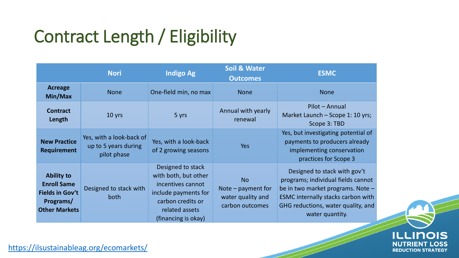## Contract Length / Eligibility

|                                                                                                        | <b>Nori</b>                                                     | Indigo Ag                                                                                                                                            | <b>Soil &amp; Water</b><br><b>Outcomes</b>                                | <b>ESMC</b>                                                                                                                                                                                                   |
|--------------------------------------------------------------------------------------------------------|-----------------------------------------------------------------|------------------------------------------------------------------------------------------------------------------------------------------------------|---------------------------------------------------------------------------|---------------------------------------------------------------------------------------------------------------------------------------------------------------------------------------------------------------|
| <b>Acreage</b><br>Min/Max                                                                              | <b>None</b>                                                     | One-field min, no max                                                                                                                                | <b>None</b>                                                               | <b>None</b>                                                                                                                                                                                                   |
| <b>Contract</b><br>Length                                                                              | 10 yrs                                                          | 5 yrs                                                                                                                                                | Annual with yearly<br>renewal                                             | Pilot - Annual<br>Market Launch - Scope 1: 10 yrs;<br>Scope 3: TBD                                                                                                                                            |
| <b>New Practice</b><br>Requirement                                                                     | Yes, with a look-back of<br>up to 5 years during<br>pilot phase | Yes, with a look-back<br>of 2 growing seasons                                                                                                        | <b>Yes</b>                                                                | Yes, but investigating potential of<br>payments to producers already<br>implementing conservation<br>practices for Scope 3                                                                                    |
| <b>Ability to</b><br><b>Enroll Same</b><br><b>Fields in Gov't</b><br>Programs/<br><b>Other Markets</b> | Designed to stack with<br>both                                  | Designed to stack<br>with both, but other<br>incentives cannot<br>include payments for<br>carbon credits or<br>related assets<br>(financing is okay) | <b>No</b><br>Note $-$ payment for<br>water quality and<br>carbon outcomes | Designed to stack with gov't<br>programs; individual fields cannot<br>be in two market programs. Note -<br><b>ESMC internally stacks carbon with</b><br>GHG reductions, water quality, and<br>water quantity. |



<https://ilsustainableag.org/ecomarkets/>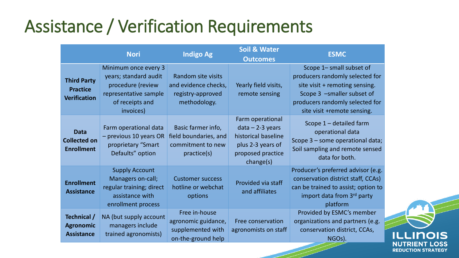#### Assistance / Verification Requirements

|                                                              | <b>Nori</b>                                                                                                                 | <b>Indigo Ag</b>                                                                | <b>Soil &amp; Water</b><br><b>Outcomes</b>                                                                           | <b>ESMC</b>                                                                                                                                                                                   |
|--------------------------------------------------------------|-----------------------------------------------------------------------------------------------------------------------------|---------------------------------------------------------------------------------|----------------------------------------------------------------------------------------------------------------------|-----------------------------------------------------------------------------------------------------------------------------------------------------------------------------------------------|
| <b>Third Party</b><br><b>Practice</b><br><b>Verification</b> | Minimum once every 3<br>years; standard audit<br>procedure (review<br>representative sample<br>of receipts and<br>invoices) | Random site visits<br>and evidence checks,<br>registry-approved<br>methodology. | Yearly field visits,<br>remote sensing                                                                               | Scope 1- small subset of<br>producers randomly selected for<br>site visit + remoting sensing.<br>Scope 3 -smaller subset of<br>producers randomly selected for<br>site visit +remote sensing. |
| <b>Data</b><br><b>Collected on</b><br><b>Enrollment</b>      | Farm operational data<br>- previous 10 years OR<br>proprietary "Smart<br>Defaults" option                                   | Basic farmer info,<br>field boundaries, and<br>commitment to new<br>practice(s) | Farm operational<br>$data - 2-3 years$<br>historical baseline<br>plus 2-3 years of<br>proposed practice<br>change(s) | Scope $1$ – detailed farm<br>operational data<br>Scope 3 - some operational data;<br>Soil sampling and remote sensed<br>data for both.                                                        |
| <b>Enrollment</b><br><b>Assistance</b>                       | <b>Supply Account</b><br>Managers on-call;<br>regular training; direct<br>assistance with<br>enrollment process             | <b>Customer success</b><br>hotline or webchat<br>options                        | Provided via staff<br>and affiliates                                                                                 | Producer's preferred advisor (e.g.<br>conservation district staff, CCAs)<br>can be trained to assist; option to<br>import data from 3 <sup>rd</sup> party<br>platform                         |
| Technical /<br><b>Agronomic</b><br><b>Assistance</b>         | NA (but supply account<br>managers include<br>trained agronomists)                                                          | Free in-house<br>agronomic guidance,<br>supplemented with<br>on-the-ground help | Free conservation<br>agronomists on staff                                                                            | Provided by ESMC's member<br>organizations and partners (e.g.<br>conservation district, CCAs,<br>NGO <sub>s</sub> ).                                                                          |

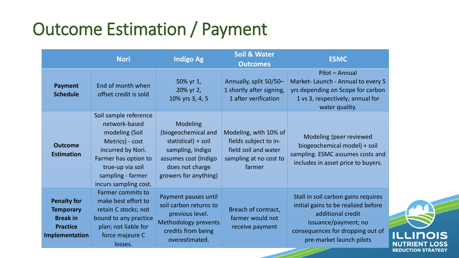## Outcome Estimation / Payment

|                                                                                                | <b>Nori</b>                                                                                                                                                                                | <b>Indigo Ag</b>                                                                                                                                      | <b>Soil &amp; Water</b><br><b>Outcomes</b>                                                                 | <b>ESMC</b>                                                                                                                                                                             |
|------------------------------------------------------------------------------------------------|--------------------------------------------------------------------------------------------------------------------------------------------------------------------------------------------|-------------------------------------------------------------------------------------------------------------------------------------------------------|------------------------------------------------------------------------------------------------------------|-----------------------------------------------------------------------------------------------------------------------------------------------------------------------------------------|
| <b>Payment</b><br><b>Schedule</b>                                                              | End of month when<br>offset credit is sold                                                                                                                                                 | 50% yr 1,<br>20% yr 2,<br>10% yrs 3, 4, 5                                                                                                             | Annually, split 50/50-<br>1 shortly after signing,<br>1 after verification                                 | Pilot - Annual<br>Market-Launch - Annual to every 5<br>yrs depending on Scope for carbon<br>1 vs 3, respectively; annual for<br>water quality.                                          |
| <b>Outcome</b><br><b>Estimation</b>                                                            | Soil sample reference<br>network-based<br>modeling (Soil<br>Metrics) - cost<br>incurred by Nori.<br>Farmer has option to<br>true-up via soil<br>sampling - farmer<br>incurs sampling cost. | <b>Modeling</b><br>(biogeochemical and<br>statistical) + soil<br>sampling, Indigo<br>assumes cost (Indigo<br>does not charge<br>growers for anything) | Modeling, with 10% of<br>fields subject to in-<br>field soil and water<br>sampling at no cost to<br>farmer | Modeling (peer reviewed<br>biogeochemical model) + soil<br>sampling. ESMC assumes costs and<br>includes in asset price to buyers.                                                       |
| <b>Penalty for</b><br><b>Temporary</b><br><b>Break in</b><br><b>Practice</b><br>Implementation | <b>Farmer commits to</b><br>make best effort to<br>retain C stocks; not<br>bound to any practice<br>plan; not liable for<br>force majeure C<br>losses.                                     | Payment pauses until<br>soil carbon returns to<br>previous level.<br><b>Methodology prevents</b><br>credits from being<br>overestimated.              | Breach of contract,<br>farmer would not<br>receive payment                                                 | Stall in soil carbon gains requires<br>initial gains to be realized before<br>additional credit<br>issuance/payment; no<br>consequences for dropping out of<br>pre-market launch pilots |

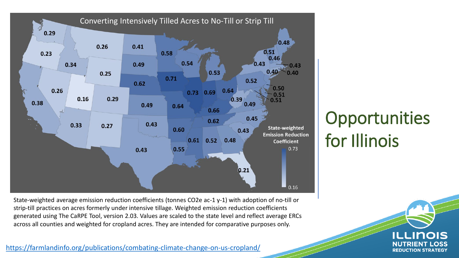

Opportunities for Illinois

State-weighted average emission reduction coefficients (tonnes CO2e ac-1 y-1) with adoption of no-till or strip-till practices on acres formerly under intensive tillage. Weighted emission reduction coefficients generated using The CaRPE Tool, version 2.03. Values are scaled to the state level and reflect average ERCs across all counties and weighted for cropland acres. They are intended for comparative purposes only.

<https://farmlandinfo.org/publications/combating-climate-change-on-us-cropland/>

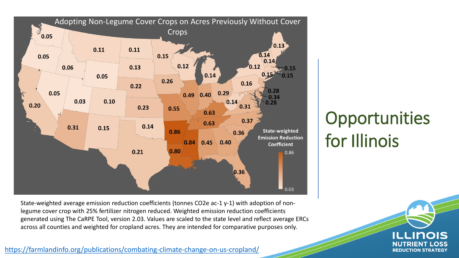

State-weighted average emission reduction coefficients (tonnes CO2e ac-1 y-1) with adoption of nonlegume cover crop with 25% fertilizer nitrogen reduced. Weighted emission reduction coefficients generated using The CaRPE Tool, version 2.03. Values are scaled to the state level and reflect average ERCs across all counties and weighted for cropland acres. They are intended for comparative purposes only.

<https://farmlandinfo.org/publications/combating-climate-change-on-us-cropland/>

**Opportunities** for Illinois

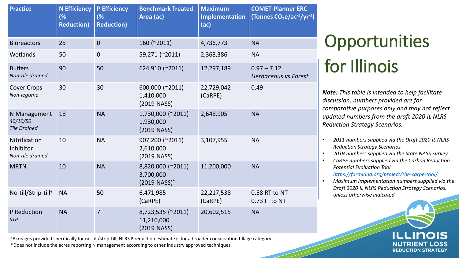| <b>Practice</b>                                 | <b>N</b> Efficiency<br>(%<br><b>Reduction)</b> | <b>P Efficiency</b><br>(%<br><b>Reduction)</b> | <b>Benchmark Treated</b><br>Area (ac)                        | <b>Maximum</b><br>Implementation<br>(ac) | <b>COMET-Planner ERC</b><br>(Tonnes $CO2e/ac-1/yr-1$ ) |
|-------------------------------------------------|------------------------------------------------|------------------------------------------------|--------------------------------------------------------------|------------------------------------------|--------------------------------------------------------|
| <b>Bioreactors</b>                              | 25                                             | $\mathbf 0$                                    | 160 (~2011)                                                  | 4,736,773                                | <b>NA</b>                                              |
| Wetlands                                        | 50                                             | $\mathbf 0$                                    | 59,271 (~2011)                                               | 2,368,386                                | <b>NA</b>                                              |
| <b>Buffers</b><br>Non-tile drained              | 90                                             | 50                                             | 624,910 (~2011)                                              | 12,297,189                               | $0.97 - 7.12$<br><b>Herbaceous vs Forest</b>           |
| <b>Cover Crops</b><br>Non-legume                | 30                                             | 30                                             | 600,000 (~2011)<br>1,410,000<br>(2019 NASS)                  | 22,729,042<br>(CaRPE)                    | 0.49                                                   |
| N Management<br>40/10/50<br><b>Tile Drained</b> | 18                                             | <b>NA</b>                                      | 1,730,000 (~2011)<br>1,930,000<br>(2019 NASS)                | 2,648,905                                | <b>NA</b>                                              |
| Nitrification<br>Inhibitor<br>Non-tile drained  | 10                                             | <b>NA</b>                                      | 907,200 (~2011)<br>2,610,000<br>(2019 NASS)                  | 3,107,955                                | <b>NA</b>                                              |
| <b>MRTN</b>                                     | 10                                             | <b>NA</b>                                      | 8,820,000 (~2011)<br>3,700,000<br>$(2019$ NASS) <sup>*</sup> | 11,200,000                               | <b>NA</b>                                              |
| No-till/Strip-till <sup>+</sup>                 | <b>NA</b>                                      | 50                                             | 6,471,985<br>(CaRPE)                                         | 22,217,538<br>(CaRPE)                    | 0.58 RT to NT<br>0.73 IT to NT                         |
| P Reduction<br><b>STP</b>                       | <b>NA</b>                                      | $\overline{7}$                                 | 8,723,535 (~2011)<br>11,210,000<br>(2019 NASS)               | 20,602,515                               | <b>NA</b>                                              |

+Acreages provided specifically for no-till/strip-till, NLRS P reduction estimate is for a broader conservation tillage category \*Does not include the acres reporting N management according to other industry approved techniques

## **Opportunities** for Illinois

*Note: This table is intended to help facilitate discussion, numbers provided are for comparative purposes only and may not reflect updated numbers from the draft 2020 IL NLRS Reduction Strategy Scenarios.* 

- *2011 numbers supplied via the Draft 2020 IL NLRS Reduction Strategy Scenarios*
- *2019 numbers supplied via the State NASS Survey*
- *CaRPE numbers supplied via the Carbon Reduction Potential Evaluation Tool <https://farmland.org/project/the-carpe-tool/>*
- *Maximum Implementation numbers supplied via the Draft 2020 IL NLRS Reduction Strategy Scenarios, unless otherwise indicated.*

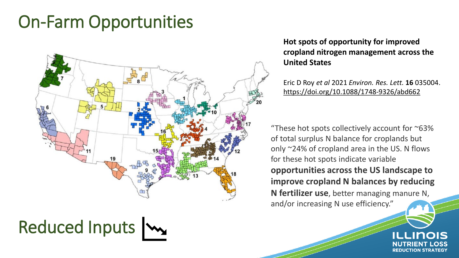#### On-Farm Opportunities



## Reduced Inputs |

#### **Hot spots of opportunity for improved cropland nitrogen management across the United States**

Eric D Roy *et al* 2021 *Environ. Res. Lett.* **16** 035004. https://doi.org/10.1088/1748-9326/abd662

"These hot spots collectively account for  $\sim$ 63% of total surplus N balance for croplands but only ~24% of cropland area in the US. N flows for these hot spots indicate variable **opportunities across the US landscape to improve cropland N balances by reducing N fertilizer use**, better managing manure N, and/or increasing N use efficiency."

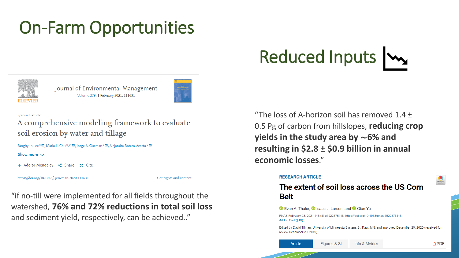#### On-Farm Opportunities



Journal of Environmental Management Volume 279, 1 February 2021, 111631



Research article

A comprehensive modeling framework to evaluate soil erosion by water and tillage

Sanghyun Lee <sup>a</sup>  $\boxtimes$ , Maria L. Chu <sup>a</sup>  $\triangle \boxtimes$ , Jorge A. Guzman <sup>a</sup>  $\boxtimes$ , Alejandra Botero-Acosta <sup>b</sup>  $\boxtimes$ 

Show more  $\vee$ 

```
+ Add to Mendeley & Share 55 Cite
```
https://doi.org/10.1016/j.jenvman.2020.111631

Get rights and content

"if no-till were implemented for all fields throughout the watershed, **76% and 72% reductions in total soil loss**  and sediment yield, respectively, can be achieved.."

Reduced Inputs  $\mathbf{w}$ 

"The loss of A-horizon soil has removed  $1.4 +$ 0.5 Pg of carbon from hillslopes, **reducing crop yields in the study area by** ∼**6% and resulting in \$2.8 ± \$0.9 billion in annual economic losses**."

#### **RESEARCH ARTICLE**

The extent of soil loss across the US Corn **Belt** 

#### **D** Evan A. Thaler, **D** Isaac J. Larsen, and **D** Qian Yu

PNAS February 23, 2021 118 (8) e1922375118; https://doi.org/10.1073/pnas.1922375118 Add to Cart (\$10)

Edited by David Tilman, University of Minnesota System, St. Paul, MN, and approved December 29, 2020 (received for review December 20, 2019)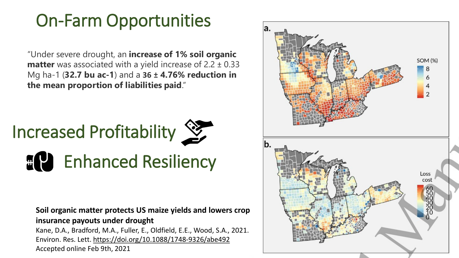#### On-Farm Opportunities

"Under severe drought, an **increase of 1% soil organic matter** was associated with a yield increase of 2.2 ± 0.33 Mg ha-1 (**32.7 bu ac-1**) and a **36 ± 4.76% reduction in the mean proportion of liabilities paid**."



**Soil organic matter protects US maize yields and lowers crop insurance payouts under drought**

Kane, D.A., Bradford, M.A., Fuller, E., Oldfield, E.E., Wood, S.A., 2021. Environ. Res. Lett. <https://doi.org/10.1088/1748-9326/abe492> Accepted online Feb 9th, 2021